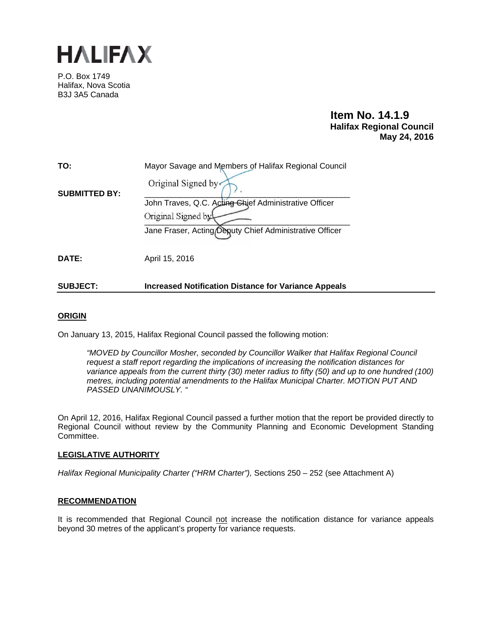

P.O. Box 1749 Halifax, Nova Scotia B3J 3A5 Canada

# **Item No. 14.1.9 Halifax Regional Council May 24, 2016**

| TO:                  | Mayor Savage and Members of Halifax Regional Council        |
|----------------------|-------------------------------------------------------------|
| <b>SUBMITTED BY:</b> | Original Signed by                                          |
|                      | John Traves, Q.C. Acting Chief Administrative Officer       |
|                      | Original Signed by                                          |
|                      | Jane Fraser, Acting Deputy Chief Administrative Officer     |
|                      |                                                             |
| DATE:                | April 15, 2016                                              |
|                      |                                                             |
| <b>SUBJECT:</b>      | <b>Increased Notification Distance for Variance Appeals</b> |

# **ORIGIN**

On January 13, 2015, Halifax Regional Council passed the following motion:

*"MOVED by Councillor Mosher, seconded by Councillor Walker that Halifax Regional Council request a staff report regarding the implications of increasing the notification distances for variance appeals from the current thirty (30) meter radius to fifty (50) and up to one hundred (100) metres, including potential amendments to the Halifax Municipal Charter. MOTION PUT AND PASSED UNANIMOUSLY. "* 

On April 12, 2016, Halifax Regional Council passed a further motion that the report be provided directly to Regional Council without review by the Community Planning and Economic Development Standing Committee.

# **LEGISLATIVE AUTHORITY**

*Halifax Regional Municipality Charter ("HRM Charter"), Sections 250 - 252 (see Attachment A)* 

# **RECOMMENDATION**

It is recommended that Regional Council not increase the notification distance for variance appeals beyond 30 metres of the applicant's property for variance requests.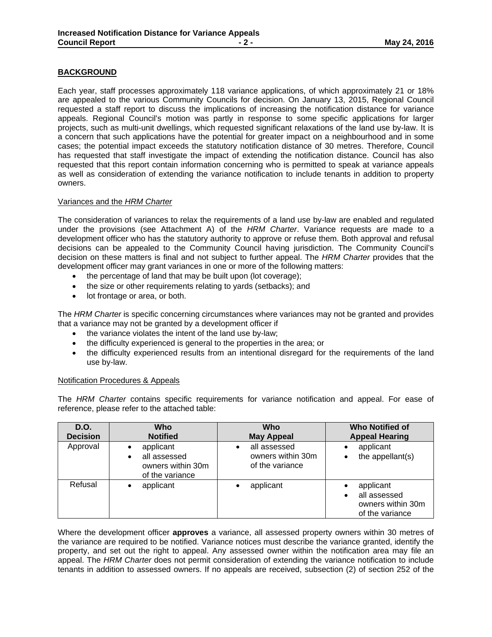# **BACKGROUND**

Each year, staff processes approximately 118 variance applications, of which approximately 21 or 18% are appealed to the various Community Councils for decision. On January 13, 2015, Regional Council requested a staff report to discuss the implications of increasing the notification distance for variance appeals. Regional Council's motion was partly in response to some specific applications for larger projects, such as multi-unit dwellings, which requested significant relaxations of the land use by-law. It is a concern that such applications have the potential for greater impact on a neighbourhood and in some cases; the potential impact exceeds the statutory notification distance of 30 metres. Therefore, Council has requested that staff investigate the impact of extending the notification distance. Council has also requested that this report contain information concerning who is permitted to speak at variance appeals as well as consideration of extending the variance notification to include tenants in addition to property owners.

# Variances and the *HRM Charter*

The consideration of variances to relax the requirements of a land use by-law are enabled and regulated under the provisions (see Attachment A) of the *HRM Charter*. Variance requests are made to a development officer who has the statutory authority to approve or refuse them. Both approval and refusal decisions can be appealed to the Community Council having jurisdiction. The Community Council's decision on these matters is final and not subject to further appeal. The *HRM Charter* provides that the development officer may grant variances in one or more of the following matters:

- the percentage of land that may be built upon (lot coverage);
- the size or other requirements relating to yards (setbacks); and
- lot frontage or area, or both.

The *HRM Charter* is specific concerning circumstances where variances may not be granted and provides that a variance may not be granted by a development officer if

- the variance violates the intent of the land use by-law:
- the difficulty experienced is general to the properties in the area; or
- the difficulty experienced results from an intentional disregard for the requirements of the land use by-law.

## Notification Procedures & Appeals

The *HRM Charter* contains specific requirements for variance notification and appeal. For ease of reference, please refer to the attached table:

| D.O.<br><b>Decision</b> | <b>Who</b><br><b>Notified</b>                                                  | Who<br><b>May Appeal</b>                             | <b>Who Notified of</b><br><b>Appeal Hearing</b>                   |
|-------------------------|--------------------------------------------------------------------------------|------------------------------------------------------|-------------------------------------------------------------------|
| Approval                | applicant<br>all assessed<br>$\bullet$<br>owners within 30m<br>of the variance | all assessed<br>owners within 30m<br>of the variance | applicant<br>the appellant(s)                                     |
| Refusal                 | applicant<br>$\bullet$                                                         | applicant                                            | applicant<br>all assessed<br>owners within 30m<br>of the variance |

Where the development officer **approves** a variance, all assessed property owners within 30 metres of the variance are required to be notified. Variance notices must describe the variance granted, identify the property, and set out the right to appeal. Any assessed owner within the notification area may file an appeal. The *HRM Charter* does not permit consideration of extending the variance notification to include tenants in addition to assessed owners. If no appeals are received, subsection (2) of section 252 of the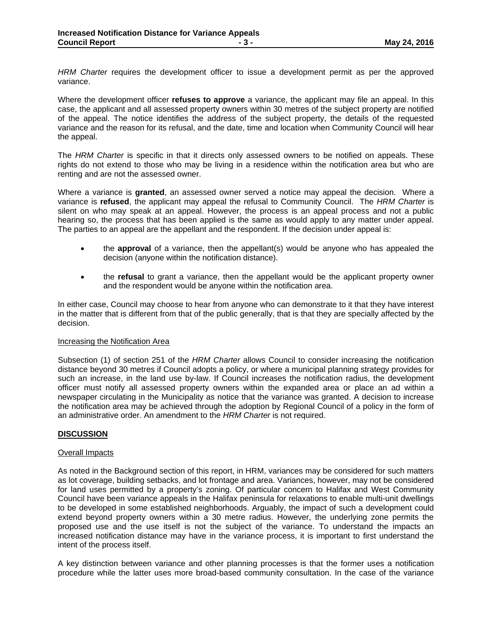*HRM Charter* requires the development officer to issue a development permit as per the approved variance.

Where the development officer **refuses to approve** a variance, the applicant may file an appeal. In this case, the applicant and all assessed property owners within 30 metres of the subject property are notified of the appeal. The notice identifies the address of the subject property, the details of the requested variance and the reason for its refusal, and the date, time and location when Community Council will hear the appeal.

The *HRM Charter* is specific in that it directs only assessed owners to be notified on appeals. These rights do not extend to those who may be living in a residence within the notification area but who are renting and are not the assessed owner.

Where a variance is **granted**, an assessed owner served a notice may appeal the decision. Where a variance is **refused**, the applicant may appeal the refusal to Community Council. The *HRM Charter* is silent on who may speak at an appeal. However, the process is an appeal process and not a public hearing so, the process that has been applied is the same as would apply to any matter under appeal. The parties to an appeal are the appellant and the respondent. If the decision under appeal is:

- the **approval** of a variance, then the appellant(s) would be anyone who has appealed the decision (anyone within the notification distance).
- the **refusal** to grant a variance, then the appellant would be the applicant property owner and the respondent would be anyone within the notification area.

In either case, Council may choose to hear from anyone who can demonstrate to it that they have interest in the matter that is different from that of the public generally, that is that they are specially affected by the decision.

#### Increasing the Notification Area

Subsection (1) of section 251 of the *HRM Charter* allows Council to consider increasing the notification distance beyond 30 metres if Council adopts a policy, or where a municipal planning strategy provides for such an increase, in the land use by-law. If Council increases the notification radius, the development officer must notify all assessed property owners within the expanded area or place an ad within a newspaper circulating in the Municipality as notice that the variance was granted. A decision to increase the notification area may be achieved through the adoption by Regional Council of a policy in the form of an administrative order. An amendment to the *HRM Charter* is not required.

# **DISCUSSION**

#### Overall Impacts

As noted in the Background section of this report, in HRM, variances may be considered for such matters as lot coverage, building setbacks, and lot frontage and area. Variances, however, may not be considered for land uses permitted by a property's zoning. Of particular concern to Halifax and West Community Council have been variance appeals in the Halifax peninsula for relaxations to enable multi-unit dwellings to be developed in some established neighborhoods. Arguably, the impact of such a development could extend beyond property owners within a 30 metre radius. However, the underlying zone permits the proposed use and the use itself is not the subject of the variance. To understand the impacts an increased notification distance may have in the variance process, it is important to first understand the intent of the process itself.

A key distinction between variance and other planning processes is that the former uses a notification procedure while the latter uses more broad-based community consultation. In the case of the variance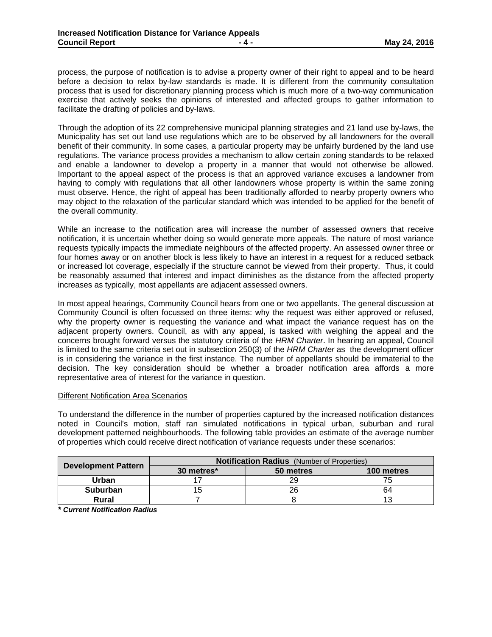process, the purpose of notification is to advise a property owner of their right to appeal and to be heard before a decision to relax by-law standards is made. It is different from the community consultation process that is used for discretionary planning process which is much more of a two-way communication exercise that actively seeks the opinions of interested and affected groups to gather information to facilitate the drafting of policies and by-laws.

Through the adoption of its 22 comprehensive municipal planning strategies and 21 land use by-laws, the Municipality has set out land use regulations which are to be observed by all landowners for the overall benefit of their community. In some cases, a particular property may be unfairly burdened by the land use regulations. The variance process provides a mechanism to allow certain zoning standards to be relaxed and enable a landowner to develop a property in a manner that would not otherwise be allowed. Important to the appeal aspect of the process is that an approved variance excuses a landowner from having to comply with regulations that all other landowners whose property is within the same zoning must observe. Hence, the right of appeal has been traditionally afforded to nearby property owners who may object to the relaxation of the particular standard which was intended to be applied for the benefit of the overall community.

While an increase to the notification area will increase the number of assessed owners that receive notification, it is uncertain whether doing so would generate more appeals. The nature of most variance requests typically impacts the immediate neighbours of the affected property. An assessed owner three or four homes away or on another block is less likely to have an interest in a request for a reduced setback or increased lot coverage, especially if the structure cannot be viewed from their property. Thus, it could be reasonably assumed that interest and impact diminishes as the distance from the affected property increases as typically, most appellants are adjacent assessed owners.

In most appeal hearings, Community Council hears from one or two appellants. The general discussion at Community Council is often focussed on three items: why the request was either approved or refused, why the property owner is requesting the variance and what impact the variance request has on the adjacent property owners. Council, as with any appeal, is tasked with weighing the appeal and the concerns brought forward versus the statutory criteria of the *HRM Charter*. In hearing an appeal, Council is limited to the same criteria set out in subsection 250(3) of the *HRM Charter* as the development officer is in considering the variance in the first instance. The number of appellants should be immaterial to the decision. The key consideration should be whether a broader notification area affords a more representative area of interest for the variance in question.

# Different Notification Area Scenarios

To understand the difference in the number of properties captured by the increased notification distances noted in Council's motion, staff ran simulated notifications in typical urban, suburban and rural development patterned neighbourhoods. The following table provides an estimate of the average number of properties which could receive direct notification of variance requests under these scenarios:

|                            | <b>Notification Radius</b> (Number of Properties) |           |            |  |
|----------------------------|---------------------------------------------------|-----------|------------|--|
| <b>Development Pattern</b> | 30 metres*                                        | 50 metres | 100 metres |  |
| Urban                      |                                                   | 29        |            |  |
| <b>Suburban</b>            |                                                   | 26        | 64         |  |
| <b>Rural</b>               |                                                   |           |            |  |

*\* Current Notification Radius*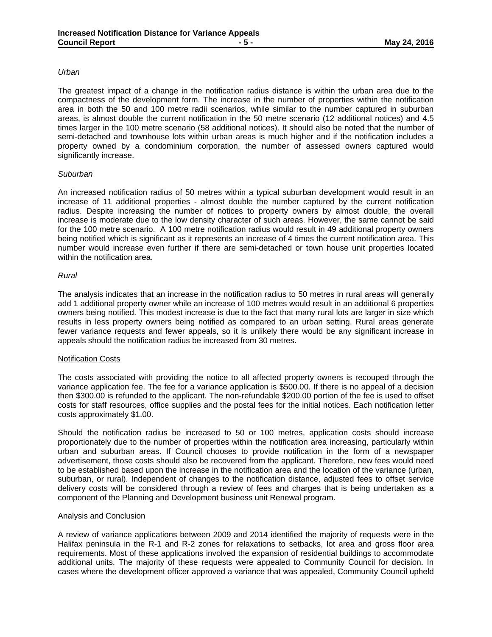#### *Urban*

The greatest impact of a change in the notification radius distance is within the urban area due to the compactness of the development form. The increase in the number of properties within the notification area in both the 50 and 100 metre radii scenarios, while similar to the number captured in suburban areas, is almost double the current notification in the 50 metre scenario (12 additional notices) and 4.5 times larger in the 100 metre scenario (58 additional notices). It should also be noted that the number of semi-detached and townhouse lots within urban areas is much higher and if the notification includes a property owned by a condominium corporation, the number of assessed owners captured would significantly increase.

#### *Suburban*

An increased notification radius of 50 metres within a typical suburban development would result in an increase of 11 additional properties - almost double the number captured by the current notification radius. Despite increasing the number of notices to property owners by almost double, the overall increase is moderate due to the low density character of such areas. However, the same cannot be said for the 100 metre scenario. A 100 metre notification radius would result in 49 additional property owners being notified which is significant as it represents an increase of 4 times the current notification area. This number would increase even further if there are semi-detached or town house unit properties located within the notification area.

#### *Rural*

The analysis indicates that an increase in the notification radius to 50 metres in rural areas will generally add 1 additional property owner while an increase of 100 metres would result in an additional 6 properties owners being notified. This modest increase is due to the fact that many rural lots are larger in size which results in less property owners being notified as compared to an urban setting. Rural areas generate fewer variance requests and fewer appeals, so it is unlikely there would be any significant increase in appeals should the notification radius be increased from 30 metres.

#### Notification Costs

The costs associated with providing the notice to all affected property owners is recouped through the variance application fee. The fee for a variance application is \$500.00. If there is no appeal of a decision then \$300.00 is refunded to the applicant. The non-refundable \$200.00 portion of the fee is used to offset costs for staff resources, office supplies and the postal fees for the initial notices. Each notification letter costs approximately \$1.00.

Should the notification radius be increased to 50 or 100 metres, application costs should increase proportionately due to the number of properties within the notification area increasing, particularly within urban and suburban areas. If Council chooses to provide notification in the form of a newspaper advertisement, those costs should also be recovered from the applicant. Therefore, new fees would need to be established based upon the increase in the notification area and the location of the variance (urban, suburban, or rural). Independent of changes to the notification distance, adjusted fees to offset service delivery costs will be considered through a review of fees and charges that is being undertaken as a component of the Planning and Development business unit Renewal program.

#### Analysis and Conclusion

A review of variance applications between 2009 and 2014 identified the majority of requests were in the Halifax peninsula in the R-1 and R-2 zones for relaxations to setbacks, lot area and gross floor area requirements. Most of these applications involved the expansion of residential buildings to accommodate additional units. The majority of these requests were appealed to Community Council for decision. In cases where the development officer approved a variance that was appealed, Community Council upheld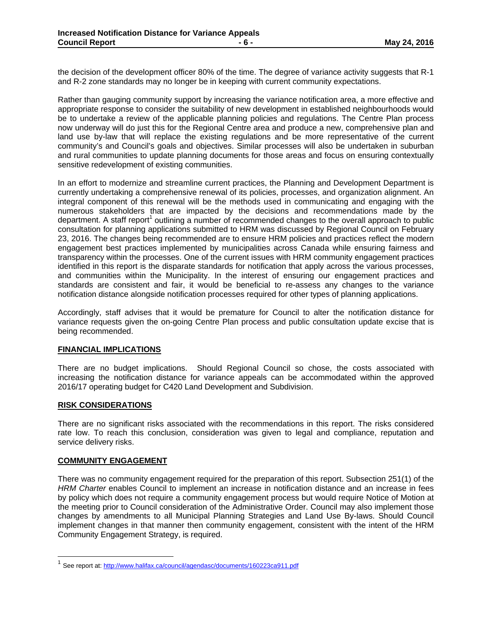the decision of the development officer 80% of the time. The degree of variance activity suggests that R-1 and R-2 zone standards may no longer be in keeping with current community expectations.

Rather than gauging community support by increasing the variance notification area, a more effective and appropriate response to consider the suitability of new development in established neighbourhoods would be to undertake a review of the applicable planning policies and regulations. The Centre Plan process now underway will do just this for the Regional Centre area and produce a new, comprehensive plan and land use by-law that will replace the existing regulations and be more representative of the current community's and Council's goals and objectives. Similar processes will also be undertaken in suburban and rural communities to update planning documents for those areas and focus on ensuring contextually sensitive redevelopment of existing communities.

In an effort to modernize and streamline current practices, the Planning and Development Department is currently undertaking a comprehensive renewal of its policies, processes, and organization alignment. An integral component of this renewal will be the methods used in communicating and engaging with the numerous stakeholders that are impacted by the decisions and recommendations made by the department. A staff report<sup>1</sup> outlining a number of recommended changes to the overall approach to public consultation for planning applications submitted to HRM was discussed by Regional Council on February 23, 2016. The changes being recommended are to ensure HRM policies and practices reflect the modern engagement best practices implemented by municipalities across Canada while ensuring fairness and transparency within the processes. One of the current issues with HRM community engagement practices identified in this report is the disparate standards for notification that apply across the various processes, and communities within the Municipality. In the interest of ensuring our engagement practices and standards are consistent and fair, it would be beneficial to re-assess any changes to the variance notification distance alongside notification processes required for other types of planning applications.

Accordingly, staff advises that it would be premature for Council to alter the notification distance for variance requests given the on-going Centre Plan process and public consultation update excise that is being recommended.

# **FINANCIAL IMPLICATIONS**

There are no budget implications. Should Regional Council so chose, the costs associated with increasing the notification distance for variance appeals can be accommodated within the approved 2016/17 operating budget for C420 Land Development and Subdivision.

# **RISK CONSIDERATIONS**

There are no significant risks associated with the recommendations in this report. The risks considered rate low. To reach this conclusion, consideration was given to legal and compliance, reputation and service delivery risks.

# **COMMUNITY ENGAGEMENT**

There was no community engagement required for the preparation of this report. Subsection 251(1) of the *HRM Charter* enables Council to implement an increase in notification distance and an increase in fees by policy which does not require a community engagement process but would require Notice of Motion at the meeting prior to Council consideration of the Administrative Order. Council may also implement those changes by amendments to all Municipal Planning Strategies and Land Use By-laws. Should Council implement changes in that manner then community engagement, consistent with the intent of the HRM Community Engagement Strategy, is required.

<sup>&</sup>lt;sup>1</sup> See report at: http://www.halifax.ca/council/agendasc/documents/160223ca911.pdf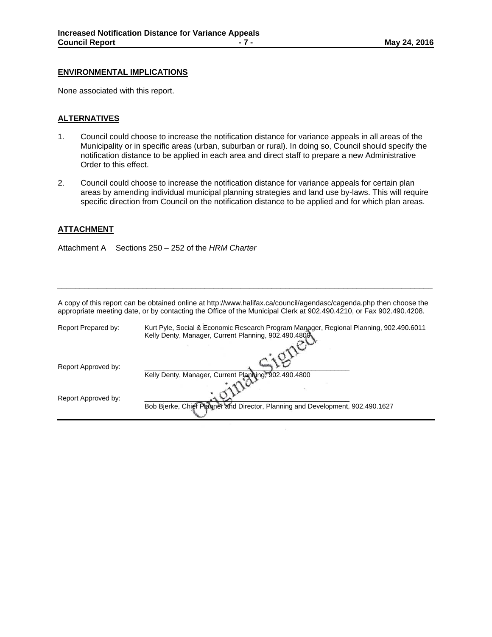#### **ENVIRONMENTAL IMPLICATIONS**

None associated with this report.

## **ALTERNATIVES**

- 1. Council could choose to increase the notification distance for variance appeals in all areas of the Municipality or in specific areas (urban, suburban or rural). In doing so, Council should specify the notification distance to be applied in each area and direct staff to prepare a new Administrative Order to this effect.
- 2. Council could choose to increase the notification distance for variance appeals for certain plan areas by amending individual municipal planning strategies and land use by-laws. This will require specific direction from Council on the notification distance to be applied and for which plan areas.

## **ATTACHMENT**

Attachment A Sections 250 – 252 of the *HRM Charter* 

| A copy of this report can be obtained online at http://www.halifax.ca/council/agendasc/cagenda.php then choose the<br>appropriate meeting date, or by contacting the Office of the Municipal Clerk at 902.490.4210, or Fax 902.490.4208. |                                                                                        |  |
|------------------------------------------------------------------------------------------------------------------------------------------------------------------------------------------------------------------------------------------|----------------------------------------------------------------------------------------|--|
| Report Prepared by:                                                                                                                                                                                                                      | Kurt Pyle, Social & Economic Research Program Manager, Regional Planning, 902.490.6011 |  |

*\_\_\_\_\_\_\_\_\_\_\_\_\_\_\_\_\_\_\_\_\_\_\_\_\_\_\_\_\_\_\_\_\_\_\_\_\_\_\_\_\_\_\_\_\_\_\_\_\_\_\_\_\_\_\_\_\_\_\_\_\_\_\_\_\_\_\_\_\_\_\_\_\_\_\_\_\_\_\_\_\_\_\_\_* 

|                     | Kelly Denty, Manager, Current Planning, 902.490.4800.                          |
|---------------------|--------------------------------------------------------------------------------|
|                     |                                                                                |
| Report Approved by: | Kelly Denty, Manager, Current Planning, 902.490.4800                           |
|                     |                                                                                |
| Report Approved by: | Bob Bjerke, Chief Planner and Director, Planning and Development, 902.490.1627 |
|                     |                                                                                |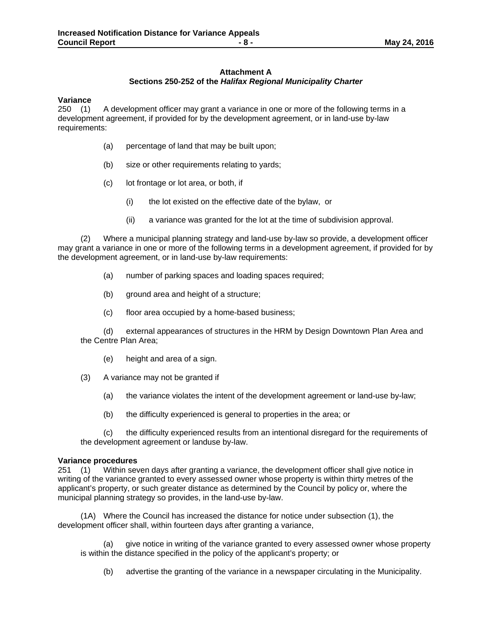# **Attachment A Sections 250-252 of the** *Halifax Regional Municipality Charter*

**Variance** 250 (1) A development officer may grant a variance in one or more of the following terms in a development agreement, if provided for by the development agreement, or in land-use by-law requirements:

- (a) percentage of land that may be built upon;
- (b) size or other requirements relating to yards;
- (c) lot frontage or lot area, or both, if
	- (i) the lot existed on the effective date of the bylaw, or
	- (ii) a variance was granted for the lot at the time of subdivision approval.

 (2)Where a municipal planning strategy and land-use by-law so provide, a development officer may grant a variance in one or more of the following terms in a development agreement, if provided for by the development agreement, or in land-use by-law requirements:

- (a) number of parking spaces and loading spaces required;
- (b) ground area and height of a structure;
- (c) floor area occupied by a home-based business;

 (d) external appearances of structures in the HRM by Design Downtown Plan Area and the Centre Plan Area;

- (e) height and area of a sign.
- (3)A variance may not be granted if
	- (a) the variance violates the intent of the development agreement or land-use by-law;
	- (b) the difficulty experienced is general to properties in the area; or

 (c) the difficulty experienced results from an intentional disregard for the requirements of the development agreement or landuse by-law.

#### **Variance procedures**

251 (1)Within seven days after granting a variance, the development officer shall give notice in writing of the variance granted to every assessed owner whose property is within thirty metres of the applicant's property, or such greater distance as determined by the Council by policy or, where the municipal planning strategy so provides, in the land-use by-law.

 (1A)Where the Council has increased the distance for notice under subsection (1), the development officer shall, within fourteen days after granting a variance,

(a) give notice in writing of the variance granted to every assessed owner whose property is within the distance specified in the policy of the applicant's property; or

(b) advertise the granting of the variance in a newspaper circulating in the Municipality.